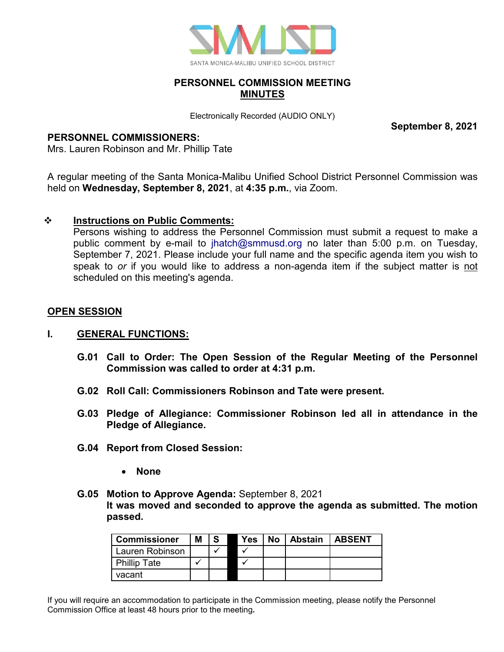

## **PERSONNEL COMMISSION MEETING MINUTES**

Electronically Recorded (AUDIO ONLY)

**September 8, 2021**

## **PERSONNEL COMMISSIONERS:**

Mrs. Lauren Robinson and Mr. Phillip Tate

A regular meeting of the Santa Monica-Malibu Unified School District Personnel Commission was held on **Wednesday, September 8, 2021**, at **4:35 p.m.**, via Zoom.

# **Instructions on Public Comments:**

Persons wishing to address the Personnel Commission must submit a request to make a public comment by e-mail to [jhatch@smmusd.org](mailto:jhatch@smmusd.org) no later than 5:00 p.m. on Tuesday, September 7, 2021. Please include your full name and the specific agenda item you wish to speak to *or* if you would like to address a non-agenda item if the subject matter is not scheduled on this meeting's agenda.

# **OPEN SESSION**

### **I. GENERAL FUNCTIONS:**

- **G.01 Call to Order: The Open Session of the Regular Meeting of the Personnel Commission was called to order at 4:31 p.m.**
- **G.02 Roll Call: Commissioners Robinson and Tate were present.**
- **G.03 Pledge of Allegiance: Commissioner Robinson led all in attendance in the Pledge of Allegiance.**
- **G.04 Report from Closed Session:**
	- **None**
- **G.05 Motion to Approve Agenda:** September 8, 2021 **It was moved and seconded to approve the agenda as submitted. The motion passed.**

| <b>Commissioner</b> | Μ |  | Yes | No | Abstain | <b>LABSENT</b> |
|---------------------|---|--|-----|----|---------|----------------|
| Lauren Robinson     |   |  |     |    |         |                |
| <b>Phillip Tate</b> |   |  |     |    |         |                |
| vacant              |   |  |     |    |         |                |

If you will require an accommodation to participate in the Commission meeting, please notify the Personnel Commission Office at least 48 hours prior to the meeting**.**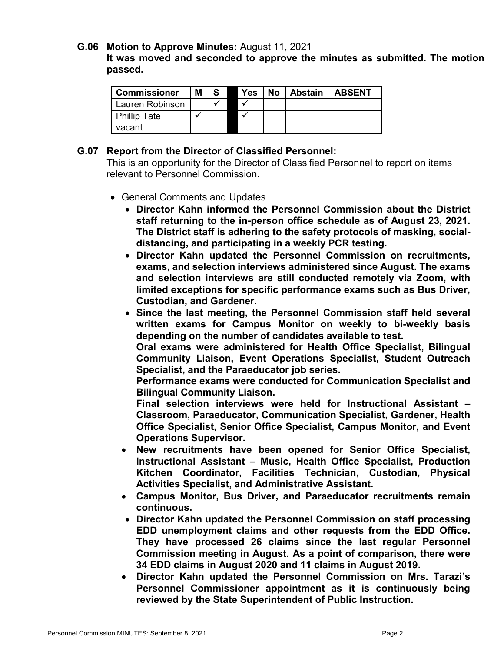#### **G.06 Motion to Approve Minutes:** August 11, 2021

**It was moved and seconded to approve the minutes as submitted. The motion passed.**

| <b>Commissioner</b> | Μ |  | <b>Yes</b> | No   Abstain | <b>LABSENT</b> |
|---------------------|---|--|------------|--------------|----------------|
| Lauren Robinson     |   |  |            |              |                |
| <b>Phillip Tate</b> |   |  |            |              |                |
| vacant              |   |  |            |              |                |

#### **G.07 Report from the Director of Classified Personnel:**

This is an opportunity for the Director of Classified Personnel to report on items relevant to Personnel Commission.

- General Comments and Updates
	- **Director Kahn informed the Personnel Commission about the District staff returning to the in-person office schedule as of August 23, 2021. The District staff is adhering to the safety protocols of masking, socialdistancing, and participating in a weekly PCR testing.**
	- **Director Kahn updated the Personnel Commission on recruitments, exams, and selection interviews administered since August. The exams and selection interviews are still conducted remotely via Zoom, with limited exceptions for specific performance exams such as Bus Driver, Custodian, and Gardener.**
	- **Since the last meeting, the Personnel Commission staff held several written exams for Campus Monitor on weekly to bi-weekly basis depending on the number of candidates available to test.**

**Oral exams were administered for Health Office Specialist, Bilingual Community Liaison, Event Operations Specialist, Student Outreach Specialist, and the Paraeducator job series.** 

**Performance exams were conducted for Communication Specialist and Bilingual Community Liaison.**

**Final selection interviews were held for Instructional Assistant – Classroom, Paraeducator, Communication Specialist, Gardener, Health Office Specialist, Senior Office Specialist, Campus Monitor, and Event Operations Supervisor.**

- **New recruitments have been opened for Senior Office Specialist, Instructional Assistant – Music, Health Office Specialist, Production Kitchen Coordinator, Facilities Technician, Custodian, Physical Activities Specialist, and Administrative Assistant.**
- **Campus Monitor, Bus Driver, and Paraeducator recruitments remain continuous.**
- **Director Kahn updated the Personnel Commission on staff processing EDD unemployment claims and other requests from the EDD Office. They have processed 26 claims since the last regular Personnel Commission meeting in August. As a point of comparison, there were 34 EDD claims in August 2020 and 11 claims in August 2019.**
- **Director Kahn updated the Personnel Commission on Mrs. Tarazi's Personnel Commissioner appointment as it is continuously being reviewed by the State Superintendent of Public Instruction.**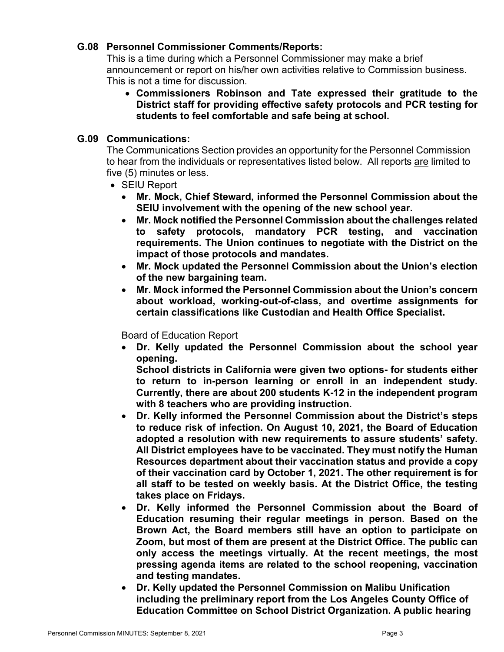## **G.08 Personnel Commissioner Comments/Reports:**

This is a time during which a Personnel Commissioner may make a brief announcement or report on his/her own activities relative to Commission business. This is not a time for discussion.

• **Commissioners Robinson and Tate expressed their gratitude to the District staff for providing effective safety protocols and PCR testing for students to feel comfortable and safe being at school.** 

### **G.09 Communications:**

The Communications Section provides an opportunity for the Personnel Commission to hear from the individuals or representatives listed below. All reports are limited to five (5) minutes or less.

- SEIU Report
	- **Mr. Mock, Chief Steward, informed the Personnel Commission about the SEIU involvement with the opening of the new school year.**
	- **Mr. Mock notified the Personnel Commission about the challenges related to safety protocols, mandatory PCR testing, and vaccination requirements. The Union continues to negotiate with the District on the impact of those protocols and mandates.**
	- **Mr. Mock updated the Personnel Commission about the Union's election of the new bargaining team.**
	- **Mr. Mock informed the Personnel Commission about the Union's concern about workload, working-out-of-class, and overtime assignments for certain classifications like Custodian and Health Office Specialist.**

Board of Education Report

• **Dr. Kelly updated the Personnel Commission about the school year opening.**

**School districts in California were given two options- for students either to return to in-person learning or enroll in an independent study. Currently, there are about 200 students K-12 in the independent program with 8 teachers who are providing instruction.**

- **Dr. Kelly informed the Personnel Commission about the District's steps to reduce risk of infection. On August 10, 2021, the Board of Education adopted a resolution with new requirements to assure students' safety. All District employees have to be vaccinated. They must notify the Human Resources department about their vaccination status and provide a copy of their vaccination card by October 1, 2021. The other requirement is for all staff to be tested on weekly basis. At the District Office, the testing takes place on Fridays.**
- **Dr. Kelly informed the Personnel Commission about the Board of Education resuming their regular meetings in person. Based on the Brown Act, the Board members still have an option to participate on Zoom, but most of them are present at the District Office. The public can only access the meetings virtually. At the recent meetings, the most pressing agenda items are related to the school reopening, vaccination and testing mandates.**
- **Dr. Kelly updated the Personnel Commission on Malibu Unification including the preliminary report from the Los Angeles County Office of Education Committee on School District Organization. A public hearing**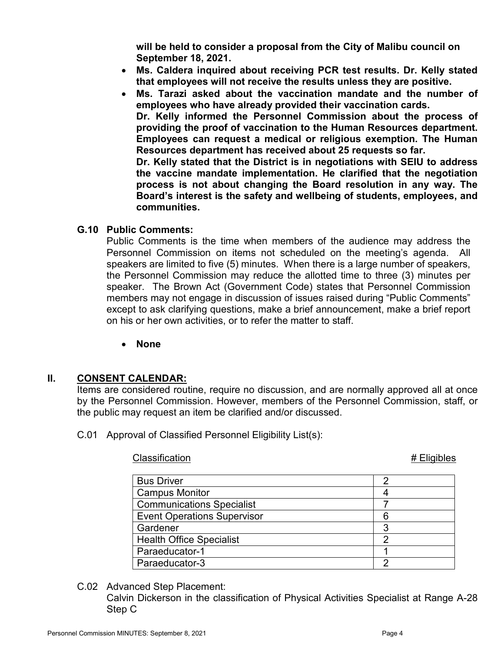**will be held to consider a proposal from the City of Malibu council on September 18, 2021.**

- **Ms. Caldera inquired about receiving PCR test results. Dr. Kelly stated that employees will not receive the results unless they are positive.**
- **Ms. Tarazi asked about the vaccination mandate and the number of employees who have already provided their vaccination cards. Dr. Kelly informed the Personnel Commission about the process of providing the proof of vaccination to the Human Resources department. Employees can request a medical or religious exemption. The Human Resources department has received about 25 requests so far. Dr. Kelly stated that the District is in negotiations with SEIU to address the vaccine mandate implementation. He clarified that the negotiation process is not about changing the Board resolution in any way. The Board's interest is the safety and wellbeing of students, employees, and**

### **G.10 Public Comments:**

**communities.** 

Public Comments is the time when members of the audience may address the Personnel Commission on items not scheduled on the meeting's agenda. All speakers are limited to five (5) minutes. When there is a large number of speakers, the Personnel Commission may reduce the allotted time to three (3) minutes per speaker. The Brown Act (Government Code) states that Personnel Commission members may not engage in discussion of issues raised during "Public Comments" except to ask clarifying questions, make a brief announcement, make a brief report on his or her own activities, or to refer the matter to staff.

• **None**

### **II. CONSENT CALENDAR:**

Items are considered routine, require no discussion, and are normally approved all at once by the Personnel Commission. However, members of the Personnel Commission, staff, or the public may request an item be clarified and/or discussed.

C.01 Approval of Classified Personnel Eligibility List(s):

Classification **# Eligibles** 

| <b>Bus Driver</b>                  |  |
|------------------------------------|--|
|                                    |  |
| <b>Campus Monitor</b>              |  |
| <b>Communications Specialist</b>   |  |
| <b>Event Operations Supervisor</b> |  |
| Gardener                           |  |
| <b>Health Office Specialist</b>    |  |
| Paraeducator-1                     |  |
| Paraeducator-3                     |  |

C.02 Advanced Step Placement:

Calvin Dickerson in the classification of Physical Activities Specialist at Range A-28 Step C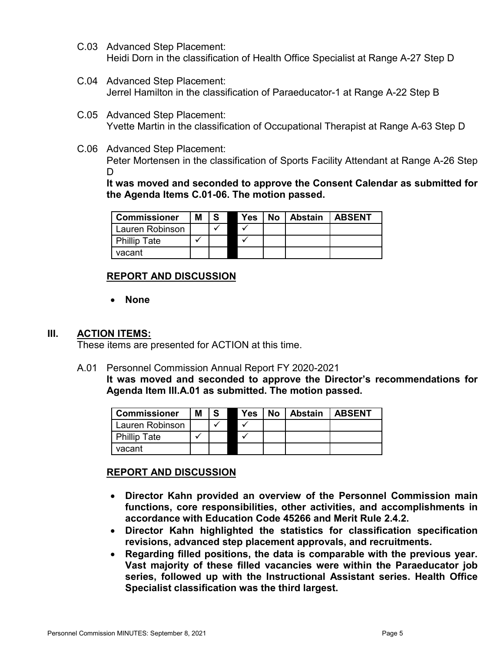- C.03 Advanced Step Placement: Heidi Dorn in the classification of Health Office Specialist at Range A-27 Step D
- C.04 Advanced Step Placement: Jerrel Hamilton in the classification of Paraeducator-1 at Range A-22 Step B
- C.05 Advanced Step Placement: Yvette Martin in the classification of Occupational Therapist at Range A-63 Step D
- C.06 Advanced Step Placement: Peter Mortensen in the classification of Sports Facility Attendant at Range A-26 Step D

**It was moved and seconded to approve the Consent Calendar as submitted for the Agenda Items C.01-06. The motion passed.**

| <sup>I</sup> Commissioner | Μ |  | Yes | <b>No</b> | <b>Abstain</b> | <b>ABSENT</b> |
|---------------------------|---|--|-----|-----------|----------------|---------------|
| Lauren Robinson           |   |  |     |           |                |               |
| <b>Phillip Tate</b>       |   |  |     |           |                |               |
| vacant                    |   |  |     |           |                |               |

# **REPORT AND DISCUSSION**

• **None**

### **III. ACTION ITEMS:**

These items are presented for ACTION at this time.

A.01 Personnel Commission Annual Report FY 2020-2021

**It was moved and seconded to approve the Director's recommendations for Agenda Item III.A.01 as submitted. The motion passed.**

| <b>Commissioner</b> | M | -S | Yes | No l | <b>Abstain   ABSENT</b> |  |
|---------------------|---|----|-----|------|-------------------------|--|
| Lauren Robinson     |   |    |     |      |                         |  |
| <b>Phillip Tate</b> |   |    |     |      |                         |  |
| vacant              |   |    |     |      |                         |  |

### **REPORT AND DISCUSSION**

- **Director Kahn provided an overview of the Personnel Commission main functions, core responsibilities, other activities, and accomplishments in accordance with Education Code 45266 and Merit Rule 2.4.2.**
- **Director Kahn highlighted the statistics for classification specification revisions, advanced step placement approvals, and recruitments.**
- **Regarding filled positions, the data is comparable with the previous year. Vast majority of these filled vacancies were within the Paraeducator job series, followed up with the Instructional Assistant series. Health Office Specialist classification was the third largest.**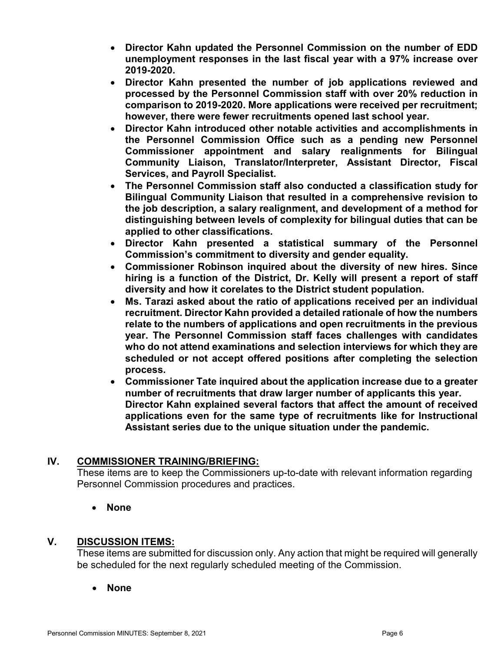- **Director Kahn updated the Personnel Commission on the number of EDD unemployment responses in the last fiscal year with a 97% increase over 2019-2020.**
- **Director Kahn presented the number of job applications reviewed and processed by the Personnel Commission staff with over 20% reduction in comparison to 2019-2020. More applications were received per recruitment; however, there were fewer recruitments opened last school year.**
- **Director Kahn introduced other notable activities and accomplishments in the Personnel Commission Office such as a pending new Personnel Commissioner appointment and salary realignments for Bilingual Community Liaison, Translator/Interpreter, Assistant Director, Fiscal Services, and Payroll Specialist.**
- **The Personnel Commission staff also conducted a classification study for Bilingual Community Liaison that resulted in a comprehensive revision to the job description, a salary realignment, and development of a method for distinguishing between levels of complexity for bilingual duties that can be applied to other classifications.**
- **Director Kahn presented a statistical summary of the Personnel Commission's commitment to diversity and gender equality.**
- **Commissioner Robinson inquired about the diversity of new hires. Since hiring is a function of the District, Dr. Kelly will present a report of staff diversity and how it corelates to the District student population.**
- **Ms. Tarazi asked about the ratio of applications received per an individual recruitment. Director Kahn provided a detailed rationale of how the numbers relate to the numbers of applications and open recruitments in the previous year. The Personnel Commission staff faces challenges with candidates who do not attend examinations and selection interviews for which they are scheduled or not accept offered positions after completing the selection process.**
- **Commissioner Tate inquired about the application increase due to a greater number of recruitments that draw larger number of applicants this year. Director Kahn explained several factors that affect the amount of received applications even for the same type of recruitments like for Instructional Assistant series due to the unique situation under the pandemic.**

# **IV. COMMISSIONER TRAINING/BRIEFING:**

These items are to keep the Commissioners up-to-date with relevant information regarding Personnel Commission procedures and practices.

• **None**

# **V. DISCUSSION ITEMS:**

These items are submitted for discussion only. Any action that might be required will generally be scheduled for the next regularly scheduled meeting of the Commission.

• **None**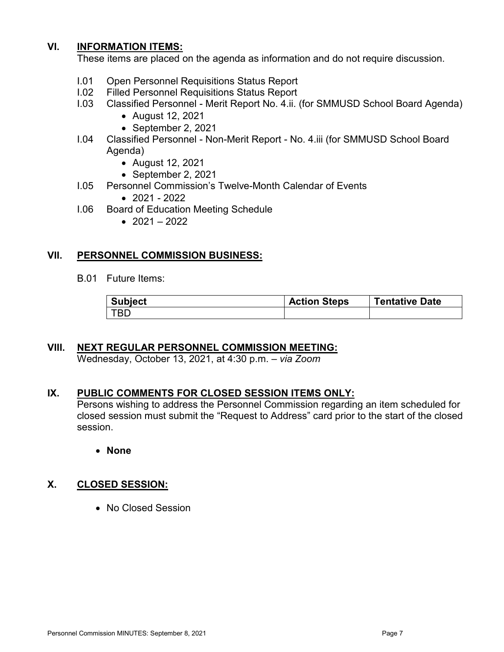## **VI. INFORMATION ITEMS:**

These items are placed on the agenda as information and do not require discussion.

- I.01 Open Personnel Requisitions Status Report
- I.02 Filled Personnel Requisitions Status Report
- I.03 Classified Personnel Merit Report No. 4.ii. (for SMMUSD School Board Agenda)
	- August 12, 2021
	- September 2, 2021
- I.04 Classified Personnel Non-Merit Report No. 4.iii (for SMMUSD School Board Agenda)
	- August 12, 2021
	- September 2, 2021
- I.05 Personnel Commission's Twelve-Month Calendar of Events
	- $2021 2022$
- I.06 Board of Education Meeting Schedule
	- $2021 2022$

#### **VII. PERSONNEL COMMISSION BUSINESS:**

B.01 Future Items:

| <b>Subject</b> | <b>Action Steps</b> | <b>Tentative Date</b> |
|----------------|---------------------|-----------------------|
| <b>TBD</b>     |                     |                       |

#### **VIII. NEXT REGULAR PERSONNEL COMMISSION MEETING:** Wednesday, October 13, 2021, at 4:30 p.m. – *via Zoom*

### **IX. PUBLIC COMMENTS FOR CLOSED SESSION ITEMS ONLY:**

Persons wishing to address the Personnel Commission regarding an item scheduled for closed session must submit the "Request to Address" card prior to the start of the closed session.

• **None**

### **X. CLOSED SESSION:**

• No Closed Session